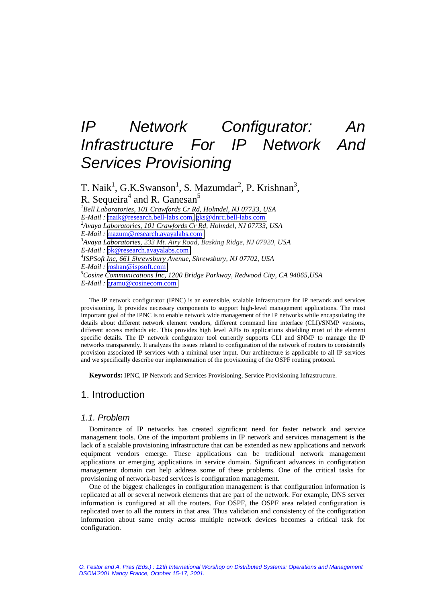# *IP Network Configurator: An Infrastructure For IP Network And Services Provisioning*

T. Naik<sup>1</sup>, G.K.Swanson<sup>1</sup>, S. Mazumdar<sup>2</sup>, P. Krishnan<sup>3</sup>, R. Sequeira<sup>4</sup> and R. Ganesan<sup>5</sup> *1 Bell Laboratories, 101 Crawfords Cr Rd, Holmdel, NJ 07733, USA E-Mail :* tnaik@research.bell-labs.com*,* gks@dnrc.bell-labs.com*2 Avaya Laboratories, 101 Crawfords Cr Rd, Holmdel, NJ 07733, USA E-Mail :* [mazum@research.avayalabs.com](mailto:mazum@research.avayalabs.com) *<sup>3</sup> Avaya Laboratories, 233 Mt. Airy Road, Basking Ridge, NJ 07920, USA E-Mail :* [pk@research.avayalabs.com](mailto:pk@research.avayalabs.com) *<sup>4</sup> ISPSoft Inc, 661 Shrewsbury Avenue, Shrewsbury, NJ 07702, USA E-Mail :* [roshan@ispsoft.com](mailto:roshan@ispsoft.com) *<sup>5</sup> Cosine Communications Inc, 1200 Bridge Parkway, Redwood City, CA 94065,USA E-Mail :* [gramu@cosinecom.com](mailto:gramu@cosinecom.com)

The IP network configurator (IPNC) is an extensible, scalable infrastructure for IP network and services provisioning. It provides necessary components to support high-level management applications. The most important goal of the IPNC is to enable network wide management of the IP networks while encapsulating the details about different network element vendors, different command line interface (CLI)/SNMP versions, different access methods etc. This provides high level APIs to applications shielding most of the element specific details. The IP network configurator tool currently supports CLI and SNMP to manage the IP networks transparently. It analyzes the issues related to configuration of the network of routers to consistently provision associated IP services with a minimal user input. Our architecture is applicable to all IP services and we specifically describe our implementation of the provisioning of the OSPF routing protocol.

**Keywords:** IPNC, IP Network and Services Provisioning, Service Provisioning Infrastructure.

# 1. Introduction

# *1.1. Problem*

Dominance of IP networks has created significant need for faster network and service management tools. One of the important problems in IP network and services management is the lack of a scalable provisioning infrastructure that can be extended as new applications and network equipment vendors emerge. These applications can be traditional network management applications or emerging applications in service domain. Significant advances in configuration management domain can help address some of these problems. One of the critical tasks for provisioning of network-based services is configuration management.

One of the biggest challenges in configuration management is that configuration information is replicated at all or several network elements that are part of the network. For example, DNS server information is configured at all the routers. For OSPF, the OSPF area related configuration is replicated over to all the routers in that area. Thus validation and consistency of the configuration information about same entity across multiple network devices becomes a critical task for configuration.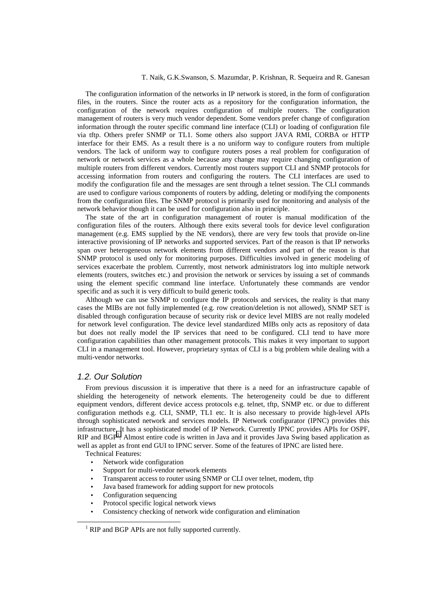The configuration information of the networks in IP network is stored, in the form of configuration files, in the routers. Since the router acts as a repository for the configuration information, the configuration of the network requires configuration of multiple routers. The configuration management of routers is very much vendor dependent. Some vendors prefer change of configuration information through the router specific command line interface (CLI) or loading of configuration file via tftp. Others prefer SNMP or TL1. Some others also support JAVA RMI, CORBA or HTTP interface for their EMS. As a result there is a no uniform way to configure routers from multiple vendors. The lack of uniform way to configure routers poses a real problem for configuration of network or network services as a whole because any change may require changing configuration of multiple routers from different vendors. Currently most routers support CLI and SNMP protocols for accessing information from routers and configuring the routers. The CLI interfaces are used to modify the configuration file and the messages are sent through a telnet session. The CLI commands are used to configure various components of routers by adding, deleting or modifying the components from the configuration files. The SNMP protocol is primarily used for monitoring and analysis of the network behavior though it can be used for configuration also in principle.

The state of the art in configuration management of router is manual modification of the configuration files of the routers. Although there exits several tools for device level configuration management (e.g. EMS supplied by the NE vendors), there are very few tools that provide on-line interactive provisioning of IP networks and supported services. Part of the reason is that IP networks span over heterogeneous network elements from different vendors and part of the reason is that SNMP protocol is used only for monitoring purposes. Difficulties involved in generic modeling of services exacerbate the problem. Currently, most network administrators log into multiple network elements (routers, switches etc.) and provision the network or services by issuing a set of commands using the element specific command line interface. Unfortunately these commands are vendor specific and as such it is very difficult to build generic tools.

Although we can use SNMP to configure the IP protocols and services, the reality is that many cases the MIBs are not fully implemented (e.g. row creation/deletion is not allowed), SNMP SET is disabled through configuration because of security risk or device level MIBS are not really modeled for network level configuration. The device level standardized MIBs only acts as repository of data but does not really model the IP services that need to be configured. CLI tend to have more configuration capabilities than other management protocols. This makes it very important to support CLI in a management tool. However, proprietary syntax of CLI is a big problem while dealing with a multi-vendor networks.

# *1.2. Our Solution*

From previous discussion it is imperative that there is a need for an infrastructure capable of shielding the heterogeneity of network elements. The heterogeneity could be due to different equipment vendors, different device access protocols e.g. telnet, tftp, SNMP etc. or due to different configuration methods e.g. CLI, SNMP, TL1 etc. It is also necessary to provide high-level APIs through sophisticated network and services models. IP Network configurator (IPNC) provides this infrastructure. It has a sophisticated model of IP Network. Currently IPNC provides APIs for OSPF, RIP and BGP<sup>1</sup>. Almost entire code is written in Java and it provides Java Swing based application as well as applet as front end GUI to IPNC server. Some of the features of IPNC are listed here.

Technical Features:

- Network wide configuration
- Support for multi-vendor network elements
- Transparent access to router using SNMP or CLI over telnet, modem, tftp
- Java based framework for adding support for new protocols
- Configuration sequencing
- Protocol specific logical network views
- Consistency checking of network wide configuration and elimination

<sup>&</sup>lt;sup>1</sup> RIP and BGP APIs are not fully supported currently.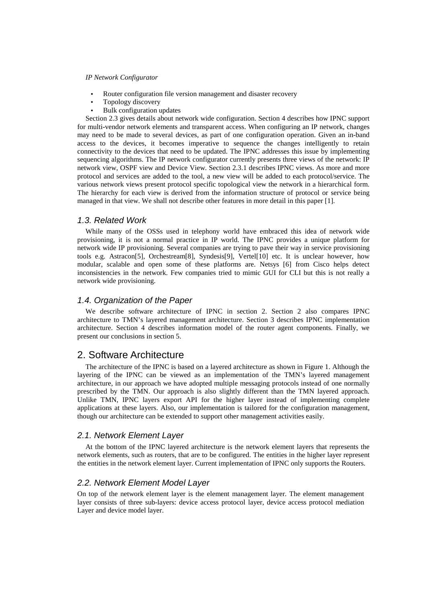- Router configuration file version management and disaster recovery
- Topology discovery
- Bulk configuration updates

Section 2.3 gives details about network wide configuration. Section 4 describes how IPNC support for multi-vendor network elements and transparent access. When configuring an IP network, changes may need to be made to several devices, as part of one configuration operation. Given an in-band access to the devices, it becomes imperative to sequence the changes intelligently to retain connectivity to the devices that need to be updated. The IPNC addresses this issue by implementing sequencing algorithms. The IP network configurator currently presents three views of the network: IP network view, OSPF view and Device View. Section 2.3.1 describes IPNC views. As more and more protocol and services are added to the tool, a new view will be added to each protocol/service. The various network views present protocol specific topological view the network in a hierarchical form. The hierarchy for each view is derived from the information structure of protocol or service being managed in that view. We shall not describe other features in more detail in this paper [1].

## *1.3. Related Work*

While many of the OSSs used in telephony world have embraced this idea of network wide provisioning, it is not a normal practice in IP world. The IPNC provides a unique platform for network wide IP provisioning. Several companies are trying to pave their way in service provisioning tools e.g. Astracon[5], Orchestream[8], Syndesis[9], Vertel[10] etc. It is unclear however, how modular, scalable and open some of these platforms are. Netsys [6] from Cisco helps detect inconsistencies in the network. Few companies tried to mimic GUI for CLI but this is not really a network wide provisioning.

## *1.4. Organization of the Paper*

We describe software architecture of IPNC in section 2. Section 2 also compares IPNC architecture to TMN's layered management architecture. Section 3 describes IPNC implementation architecture. Section 4 describes information model of the router agent components. Finally, we present our conclusions in section 5.

# 2. Software Architecture

The architecture of the IPNC is based on a layered architecture as shown in Figure 1. Although the layering of the IPNC can be viewed as an implementation of the TMN's layered management architecture, in our approach we have adopted multiple messaging protocols instead of one normally prescribed by the TMN. Our approach is also slightly different than the TMN layered approach. Unlike TMN, IPNC layers export API for the higher layer instead of implementing complete applications at these layers. Also, our implementation is tailored for the configuration management, though our architecture can be extended to support other management activities easily.

## *2.1. Network Element Layer*

At the bottom of the IPNC layered architecture is the network element layers that represents the network elements, such as routers, that are to be configured. The entities in the higher layer represent the entities in the network element layer. Current implementation of IPNC only supports the Routers.

## *2.2. Network Element Model Layer*

On top of the network element layer is the element management layer. The element management layer consists of three sub-layers: device access protocol layer, device access protocol mediation Layer and device model layer.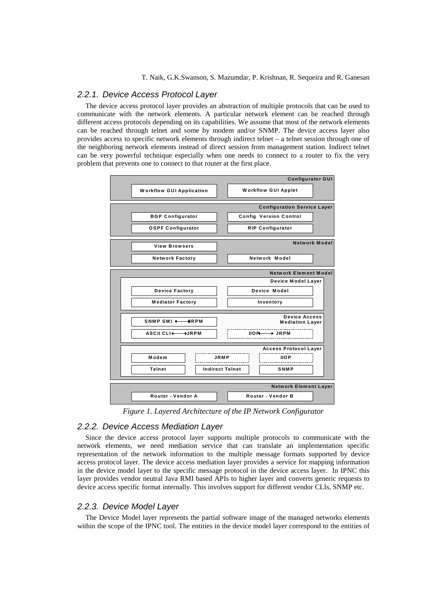# *2.2.1. Device Access Protocol Layer*

The device access protocol layer provides an abstraction of multiple protocols that can be used to communicate with the network elements. A particular network element can be reached through different access protocols depending on its capabilities. We assume that most of the network elements can be reached through telnet and some by modem and/or SNMP. The device access layer also provides access to specific network elements through indirect telnet – a telnet session through one of the neighboring network elements instead of direct session from management station. Indirect telnet can be very powerful technique especially when one needs to connect to a router to fix the very problem that prevents one to connect to that router at the first place.



*Figure 1. Layered Architecture of the IP Network Configurator*

## *2.2.2. Device Access Mediation Layer*

Since the device access protocol layer supports multiple protocols to communicate with the network elements, we need mediation service that can translate an implementation specific representation of the network information to the multiple message formats supported by device access protocol layer. The device access mediation layer provides a service for mapping information in the device model layer to the specific message protocol in the device access layer. In IPNC this layer provides vendor neutral Java RMI based APIs to higher layer and converts generic requests to device access specific format internally. This involves support for different vendor CLIs, SNMP etc.

# *2.2.3. Device Model Layer*

The Device Model layer represents the partial software image of the managed networks elements within the scope of the IPNC tool. The entities in the device model layer correspond to the entities of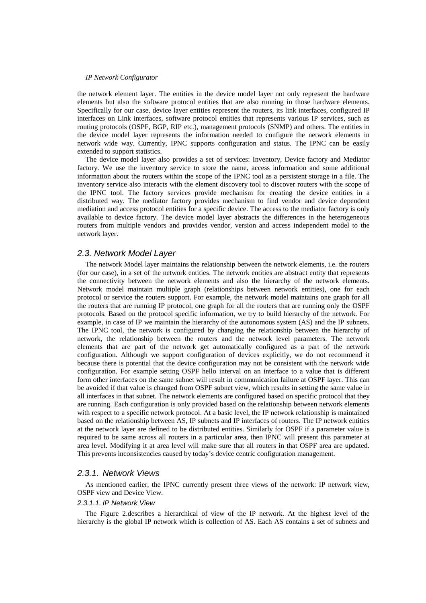the network element layer. The entities in the device model layer not only represent the hardware elements but also the software protocol entities that are also running in those hardware elements. Specifically for our case, device layer entities represent the routers, its link interfaces, configured IP interfaces on Link interfaces, software protocol entities that represents various IP services, such as routing protocols (OSPF, BGP, RIP etc.), management protocols (SNMP) and others. The entities in the device model layer represents the information needed to configure the network elements in network wide way. Currently, IPNC supports configuration and status. The IPNC can be easily extended to support statistics.

The device model layer also provides a set of services: Inventory, Device factory and Mediator factory. We use the inventory service to store the name, access information and some additional information about the routers within the scope of the IPNC tool as a persistent storage in a file. The inventory service also interacts with the element discovery tool to discover routers with the scope of the IPNC tool. The factory services provide mechanism for creating the device entities in a distributed way. The mediator factory provides mechanism to find vendor and device dependent mediation and access protocol entities for a specific device. The access to the mediator factory is only available to device factory. The device model layer abstracts the differences in the heterogeneous routers from multiple vendors and provides vendor, version and access independent model to the network layer.

#### *2.3. Network Model Layer*

The network Model layer maintains the relationship between the network elements, i.e. the routers (for our case), in a set of the network entities. The network entities are abstract entity that represents the connectivity between the network elements and also the hierarchy of the network elements. Network model maintain multiple graph (relationships between network entities), one for each protocol or service the routers support. For example, the network model maintains one graph for all the routers that are running IP protocol, one graph for all the routers that are running only the OSPF protocols. Based on the protocol specific information, we try to build hierarchy of the network. For example, in case of IP we maintain the hierarchy of the autonomous system (AS) and the IP subnets. The IPNC tool, the network is configured by changing the relationship between the hierarchy of network, the relationship between the routers and the network level parameters. The network elements that are part of the network get automatically configured as a part of the network configuration. Although we support configuration of devices explicitly, we do not recommend it because there is potential that the device configuration may not be consistent with the network wide configuration. For example setting OSPF hello interval on an interface to a value that is different form other interfaces on the same subnet will result in communication failure at OSPF layer. This can be avoided if that value is changed from OSPF subnet view, which results in setting the same value in all interfaces in that subnet. The network elements are configured based on specific protocol that they are running. Each configuration is only provided based on the relationship between network elements with respect to a specific network protocol. At a basic level, the IP network relationship is maintained based on the relationship between AS, IP subnets and IP interfaces of routers. The IP network entities at the network layer are defined to be distributed entities. Similarly for OSPF if a parameter value is required to be same across all routers in a particular area, then IPNC will present this parameter at area level. Modifying it at area level will make sure that all routers in that OSPF area are updated. This prevents inconsistencies caused by today's device centric configuration management.

## *2.3.1. Network Views*

As mentioned earlier, the IPNC currently present three views of the network: IP network view, OSPF view and Device View.

#### *2.3.1.1. IP Network View*

The Figure 2.describes a hierarchical of view of the IP network. At the highest level of the hierarchy is the global IP network which is collection of AS. Each AS contains a set of subnets and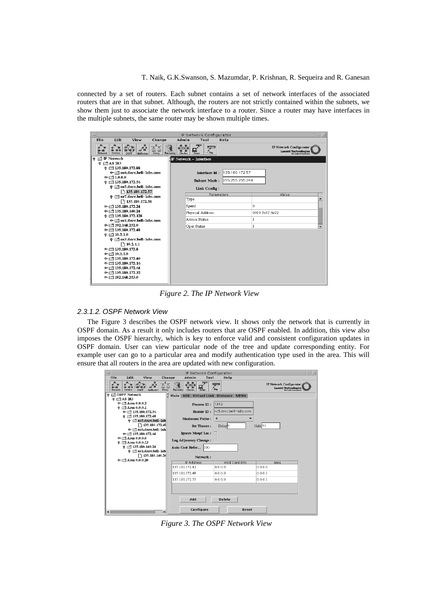connected by a set of routers. Each subnet contains a set of network interfaces of the associated routers that are in that subnet. Although, the routers are not strictly contained within the subnets, we show them just to associate the network interface to a router. Since a router may have interfaces in the multiple subnets, the same router may be shown multiple times.

| IP Network Configurator<br>a.<br>$\overline{\phantom{a}}$                                                                                                |                                                 |                                   |                                                                                       |  |  |  |  |  |  |  |  |
|----------------------------------------------------------------------------------------------------------------------------------------------------------|-------------------------------------------------|-----------------------------------|---------------------------------------------------------------------------------------|--|--|--|--|--|--|--|--|
| <b>File</b><br><b>Fdit</b><br>View<br>Change                                                                                                             | Admin<br>Tool                                   | Help                              |                                                                                       |  |  |  |  |  |  |  |  |
| Device<br>Policy<br>Network<br><b>OSPF</b><br><b>Ald Router</b>                                                                                          | لديرنا<br>Tel•<br>Recovery<br>Telnet<br>Checker | デ<br>$/$ Finz                     | <b>IP Network Configurator</b><br><b>Lucent Technologies</b><br>leil Labs Innovations |  |  |  |  |  |  |  |  |
| $\circ$ $\Box$ IP Network                                                                                                                                | $\mathbb{I} \mathbb{P}$ Network – Interface     |                                   |                                                                                       |  |  |  |  |  |  |  |  |
| $\circ$ $\Box$ AS 283<br>$\circ$ = 135.180.172.88<br>⊕ nc6.dnrc.bell-labs.com<br>$\circ$ = 1.0.0.0<br>$Q = 135.180.172.56$<br>© □ nc5.dnrc.bell-labs.com | Interface Id:<br><b>Subnet Mask:</b>            | 135.180.172.57<br>255.255.255.248 |                                                                                       |  |  |  |  |  |  |  |  |
| $\bigcap$ 135.180.172.57                                                                                                                                 | Link Config:                                    |                                   |                                                                                       |  |  |  |  |  |  |  |  |
| © Inc7.durc.bell-labs.com                                                                                                                                |                                                 | Parameters                        | Value                                                                                 |  |  |  |  |  |  |  |  |
| $\sqrt{135.180.172.58}$                                                                                                                                  | Type                                            |                                   | $\blacktriangle$                                                                      |  |  |  |  |  |  |  |  |
| $\odot$ = 135.180.172.24                                                                                                                                 | Speed                                           |                                   | $\circ$                                                                               |  |  |  |  |  |  |  |  |
| $\odot$ = 135.180.140.24                                                                                                                                 | Physical Address                                |                                   | 0010 7b87 6e22                                                                        |  |  |  |  |  |  |  |  |
| $\circ$ = 135.180.172.128                                                                                                                                | Admin Status                                    |                                   | <sup>1</sup>                                                                          |  |  |  |  |  |  |  |  |
| ⊕ Tnc1.dnrc.bell-labs.com<br>$\odot$ = 192.168.252.0                                                                                                     |                                                 |                                   |                                                                                       |  |  |  |  |  |  |  |  |
| $\odot$ = 135.180.172.48                                                                                                                                 | Oper Status                                     |                                   | 1<br>$\overline{\phantom{0}}$                                                         |  |  |  |  |  |  |  |  |
| $\circ$ = 10.2.1.0                                                                                                                                       |                                                 |                                   |                                                                                       |  |  |  |  |  |  |  |  |
| © □ nc3.durc.bell-labs.com                                                                                                                               |                                                 |                                   |                                                                                       |  |  |  |  |  |  |  |  |
| $\bigcap$ 10.2.1.1                                                                                                                                       |                                                 |                                   |                                                                                       |  |  |  |  |  |  |  |  |
| $\odot$ $\Box$ 135.180.172.8                                                                                                                             |                                                 |                                   |                                                                                       |  |  |  |  |  |  |  |  |
| $\odot$ = 10.1.1.0                                                                                                                                       |                                                 |                                   |                                                                                       |  |  |  |  |  |  |  |  |
| $\odot$ = 135.180.172.40                                                                                                                                 |                                                 |                                   |                                                                                       |  |  |  |  |  |  |  |  |
| $\odot$ = 135.180.172.16<br>$\circ$ = 135.180.172.64                                                                                                     |                                                 |                                   |                                                                                       |  |  |  |  |  |  |  |  |
| $\odot$   135.180.172.32                                                                                                                                 |                                                 |                                   |                                                                                       |  |  |  |  |  |  |  |  |
| $\circ$ = 192.168.253.0                                                                                                                                  |                                                 |                                   |                                                                                       |  |  |  |  |  |  |  |  |
|                                                                                                                                                          |                                                 |                                   |                                                                                       |  |  |  |  |  |  |  |  |

*Figure 2. The IP Network View* 

# *2.3.1.2. OSPF Network View*

 The Figure 3 describes the OSPF network view. It shows only the network that is currently in OSPF domain. As a result it only includes routers that are OSPF enabled. In addition, this view also imposes the OSPF hierarchy, which is key to enforce valid and consistent configuration updates in OSPF domain. User can view particular node of the tree and update corresponding entity. For example user can go to a particular area and modify authentication type used in the area. This will ensure that all routers in the area are updated with new configuration.

| IP Network Configurator<br>×                                    |                                                            |                                   |                    |                                        |                              |                        |       |                    |                                                                              |  |  |  |
|-----------------------------------------------------------------|------------------------------------------------------------|-----------------------------------|--------------------|----------------------------------------|------------------------------|------------------------|-------|--------------------|------------------------------------------------------------------------------|--|--|--|
| File                                                            | Edit                                                       | View                              | Change             | Admin                                  | Tool                         | Help                   |       |                    |                                                                              |  |  |  |
| Network                                                         | Device                                                     | OSPF<br><b>Ald Rocker</b>         | Policy<br>Recovery | (leh<br>$\overline{G}$ ecles<br>Tehnet | سيرها<br>$0 = 0$<br>$/$ Fing |                        |       |                    | IP Network Configurator<br><b>Lucent Technologies</b><br>Bell Labsimovations |  |  |  |
| <b>OSPF</b> Network<br>۰<br>Main ABR Virtual Link Distance NBMA |                                                            |                                   |                    |                                        |                              |                        |       |                    |                                                                              |  |  |  |
|                                                                 | $\circ$ $\Box$ AS 283                                      |                                   |                    |                                        |                              |                        |       |                    |                                                                              |  |  |  |
|                                                                 | $\odot$ $\Box$ Area 0.0.0.2<br>$\odot$ $\Box$ Area 0.0.0.1 |                                   |                    | Process ID:                            | 1313                         |                        |       |                    |                                                                              |  |  |  |
|                                                                 |                                                            | $\odot$ (135.180.172.56)          |                    | Router ID:                             |                              | nc5.dnrc.bell-labs.com |       |                    |                                                                              |  |  |  |
|                                                                 |                                                            | $\circ$ = 135.180.172.48          |                    |                                        |                              |                        |       |                    |                                                                              |  |  |  |
|                                                                 |                                                            | $\circ$ $\Box$ nc5.dnrc.bell-lab: |                    | <b>Maximum Paths:</b>                  | $\overline{\mathbf{4}}$      |                        |       |                    |                                                                              |  |  |  |
|                                                                 |                                                            | 135.180.172.49                    |                    | <b>Set Timers:</b>                     |                              | Delay <sup>5</sup>     |       | Hold <sup>10</sup> |                                                                              |  |  |  |
|                                                                 |                                                            | ⊕ finc6.durc.bell-lab             |                    |                                        |                              |                        |       |                    |                                                                              |  |  |  |
|                                                                 |                                                            | $\odot$ = 135.180.172.64          |                    | Ignore Mospf Lsa : □                   |                              |                        |       |                    |                                                                              |  |  |  |
|                                                                 | $\Phi$ = $Anea$ 0.0.0.0                                    |                                   |                    | Log Adjacency Change:                  |                              |                        |       |                    |                                                                              |  |  |  |
|                                                                 | $\odot$ $\Box$ Area 0.0.0.13                               | $\circ$ = 135.180.140.24          |                    |                                        |                              |                        |       |                    |                                                                              |  |  |  |
|                                                                 |                                                            | $\circ$ $\Box$ nc1.dnrc.bell-lab: |                    | Auto Cost Refer                        | 100                          |                        |       |                    |                                                                              |  |  |  |
|                                                                 |                                                            | 135.180.140.26                    |                    | Network:                               |                              |                        |       |                    |                                                                              |  |  |  |
|                                                                 | $\Phi$ = Area 0.0.0.20                                     |                                   |                    |                                        |                              |                        |       |                    |                                                                              |  |  |  |
|                                                                 |                                                            |                                   |                    | <b>IP Address</b>                      |                              | Wild Card Bits         |       |                    | Area                                                                         |  |  |  |
|                                                                 |                                                            |                                   |                    | 135.180.172.42                         | 0.0.0.0                      |                        |       | 0.0.0.0            |                                                                              |  |  |  |
|                                                                 |                                                            |                                   |                    | 135.180.172.49                         | 0.0.0.0                      |                        |       | 0.0.0.1            |                                                                              |  |  |  |
|                                                                 |                                                            |                                   |                    | 135.180.172.57                         | 0.0.0.0                      |                        |       | 0.0.0.1            |                                                                              |  |  |  |
|                                                                 |                                                            |                                   |                    |                                        |                              |                        |       |                    |                                                                              |  |  |  |
|                                                                 |                                                            |                                   |                    |                                        |                              |                        |       |                    |                                                                              |  |  |  |
|                                                                 |                                                            |                                   |                    |                                        |                              |                        |       |                    |                                                                              |  |  |  |
|                                                                 |                                                            |                                   |                    | Add                                    |                              | <b>Delete</b>          |       |                    |                                                                              |  |  |  |
|                                                                 |                                                            |                                   |                    |                                        |                              |                        |       |                    |                                                                              |  |  |  |
|                                                                 |                                                            |                                   |                    | Configure                              |                              |                        | Reset |                    |                                                                              |  |  |  |
|                                                                 |                                                            |                                   |                    |                                        |                              |                        |       |                    |                                                                              |  |  |  |

*Figure 3. The OSPF Network View*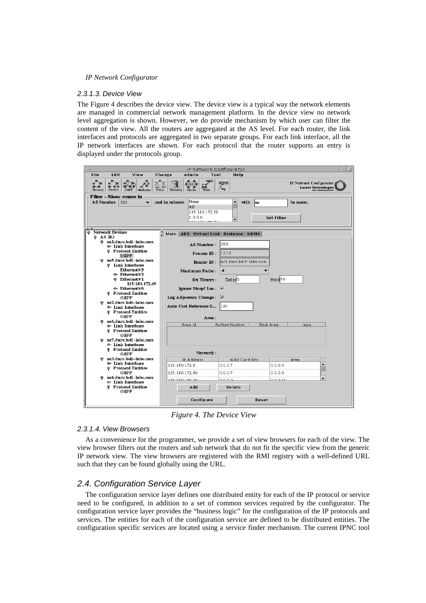#### *2.3.1.3. Device View*

The Figure 4 describes the device view. The device view is a typical way the network elements are managed in commercial network management platform. In the device view no network level aggregation is shown. However, we do provide mechanism by which user can filter the content of the view. All the routers are aggregated at the AS level. For each router, the link interfaces and protocols are aggregated in two separate groups. For each link interface, all the IP network interfaces are shown. For each protocol that the router supports an entry is displayed under the protocols group.



*Figure 4. The Device View* 

#### *2.3.1.4. View Browsers*

As a convenience for the programmer, we provide a set of view browsers for each of the view. The view browser filters out the routers and sub network that do not fit the specific view from the generic IP network view. The view browsers are registered with the RMI registry with a well-defined URL such that they can be found globally using the URL.

# *2.4. Configuration Service Layer*

The configuration service layer defines one distributed entity for each of the IP protocol or service need to be configured, in addition to a set of common services required by the configurator. The configuration service layer provides the "business logic" for the configuration of the IP protocols and services. The entities for each of the configuration service are defined to be distributed entities. The configuration specific services are located using a service finder mechanism. The current IPNC tool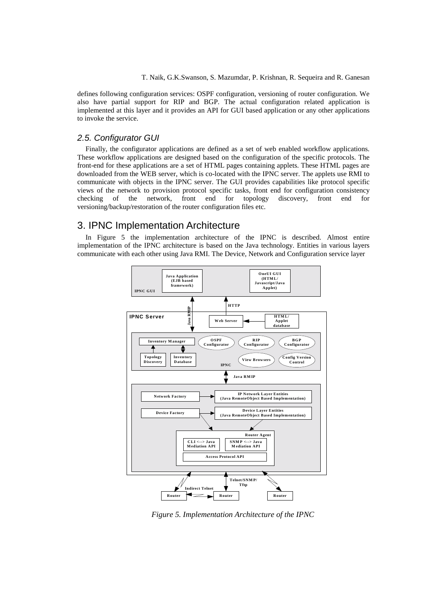defines following configuration services: OSPF configuration, versioning of router configuration. We also have partial support for RIP and BGP. The actual configuration related application is implemented at this layer and it provides an API for GUI based application or any other applications to invoke the service.

# *2.5. Configurator GUI*

Finally, the configurator applications are defined as a set of web enabled workflow applications. These workflow applications are designed based on the configuration of the specific protocols. The front-end for these applications are a set of HTML pages containing applets. These HTML pages are downloaded from the WEB server, which is co-located with the IPNC server. The applets use RMI to communicate with objects in the IPNC server. The GUI provides capabilities like protocol specific views of the network to provision protocol specific tasks, front end for configuration consistency checking of the network, front end for topology discovery, front end for versioning/backup/restoration of the router configuration files etc.

# 3. IPNC Implementation Architecture

In Figure 5 the implementation architecture of the IPNC is described. Almost entire implementation of the IPNC architecture is based on the Java technology. Entities in various layers communicate with each other using Java RMI. The Device, Network and Configuration service layer



*Figure 5. Implementation Architecture of the IPNC*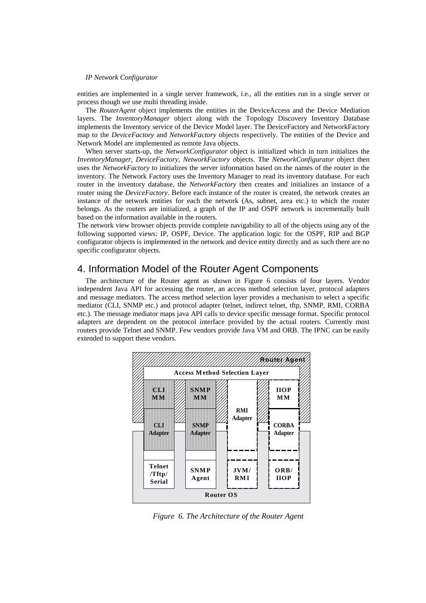entities are implemented in a single server framework, i.e., all the entities run in a single server or process though we use multi threading inside.

The *RouterAgent* object implements the entities in the DeviceAccess and the Device Mediation layers. The *InventoryManager* object along with the Topology Discovery Inventory Database implements the Inventory service of the Device Model layer. The DeviceFactory and NetworkFactory map to the *DeviceFactory* and *NetworkFactory* objects respectively. The entities of the Device and Network Model are implemented as remote Java objects.

When server starts-up, the *NetworkConfigurator* object is initialized which in turn initializes the *InventoryManager, DeviceFactory, NetworkFactory* objects. The *NetworkConfigurator* object then uses the *NetworkFactory* to initializes the server information based on the names of the router in the inventory. The Network Factory uses the Inventory Manager to read its inventory database. For each router in the inventory database, the *NetworkFactory* then creates and initializes an instance of a router using the *DeviceFactory*. Before each instance of the router is created, the network creates an instance of the network entities for each the network (As, subnet, area etc.) to which the router belongs. As the routers are initialized, a graph of the IP and OSPF network is incrementally built based on the information available in the routers.

The network view browser objects provide complete navigability to all of the objects using any of the following supported views: IP, OSPF, Device. The application logic for the OSPF, RIP and BGP configurator objects is implemented in the network and device entity directly and as such there are no specific configurator objects.

# 4. Information Model of the Router Agent Components

The architecture of the Router agent as shown in Figure 6 consists of four layers. Vendor independent Java API for accessing the router, an access method selection layer, protocol adapters and message mediators. The access method selection layer provides a mechanism to select a specific mediator (CLI, SNMP etc.) and protocol adapter (telnet, indirect telnet, tftp, SNMP, RMI, CORBA etc.). The message mediator maps java API calls to device specific message format. Specific protocol adapters are dependent on the protocol interface provided by the actual routers. Currently most routers provide Telnet and SNMP. Few vendors provide Java VM and ORB. The IPNC can be easily extended to support these vendors.



 *Figure 6. The Architecture of the Router Agent*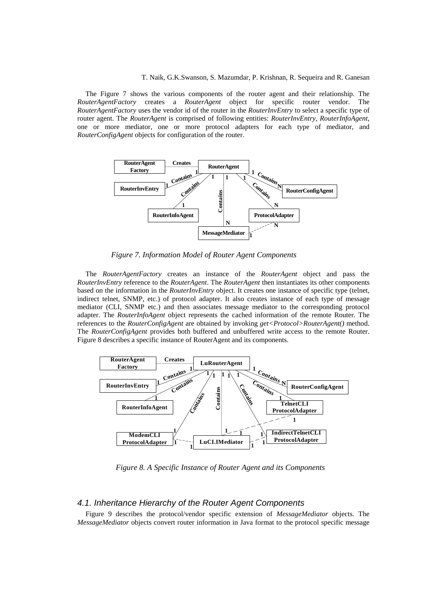The Figure 7 shows the various components of the router agent and their relationship. The *RouterAgentFactory* creates a *RouterAgent* object for specific router vendor. The *RouterAgentFactory* uses the vendor id of the router in the *RouterInvEntry* to select a specific type of router agent. The *RouterAgent* is comprised of following entities: *RouterInvEntry*, *RouterInfoAgent*, one or more mediator, one or more protocol adapters for each type of mediator, and *RouterConfigAgent* objects for configuration of the router.



*Figure 7. Information Model of Router Agent Components* 

The *RouterAgentFactory* creates an instance of the *RouterAgent* object and pass the *RouterInvEntry* reference to the *RouterAgent*. The *RouterAgent* then instantiates its other components based on the information in the *RouterInvEntry* object. It creates one instance of specific type (telnet, indirect telnet, SNMP, etc.) of protocol adapter. It also creates instance of each type of message mediator (CLI, SNMP etc.) and then associates message mediator to the corresponding protocol adapter. The *RouterInfoAgent* object represents the cached information of the remote Router. The references to the *RouterConfigAgent* are obtained by invoking *get<Protocol>RouterAgent()* method. The *RouterConfigAgent* provides both buffered and unbuffered write access to the remote Router. Figure 8 describes a specific instance of RouterAgent and its components.



 *Figure 8. A Specific Instance of Router Agent and its Components* 

## *4.1. Inheritance Hierarchy of the Router Agent Components*

Figure 9 describes the protocol/vendor specific extension of *MessageMediator* objects. The *MessageMediator* objects convert router information in Java format to the protocol specific message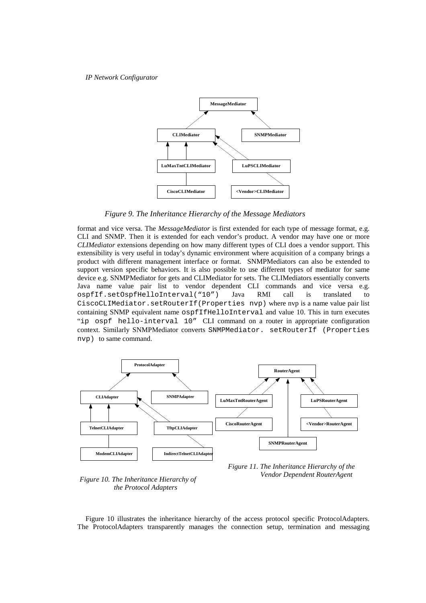

*Figure 9. The Inheritance Hierarchy of the Message Mediators* 

format and vice versa. The *MessageMediator* is first extended for each type of message format, e.g. CLI and SNMP. Then it is extended for each vendor's product. A vendor may have one or more *CLIMediator* extensions depending on how many different types of CLI does a vendor support. This extensibility is very useful in today's dynamic environment where acquisition of a company brings a product with different management interface or format. SNMPMediators can also be extended to support version specific behaviors. It is also possible to use different types of mediator for same device e.g. SNMPMediator for gets and CLIMediator for sets. The CLIMediators essentially converts Java name value pair list to vendor dependent CLI commands and vice versa e.g. ospfIf.setOspfHelloInterval("10") Java RMI call is translated to CiscoCLIMediator.setRouterIf(Properties nvp) where nvp is a name value pair list containing SNMP equivalent name ospfIfHelloInterval and value 10. This in turn executes "ip ospf hello-interval 10" CLI command on a router in appropriate configuration context. Similarly SNMPMediator converts SNMPMediator. setRouterIf (Properties nvp) to same command.



*Figure 10. The Inheritance Hierarchy of the Protocol Adapters*



Figure 10 illustrates the inheritance hierarchy of the access protocol specific ProtocolAdapters. The ProtocolAdapters transparently manages the connection setup, termination and messaging